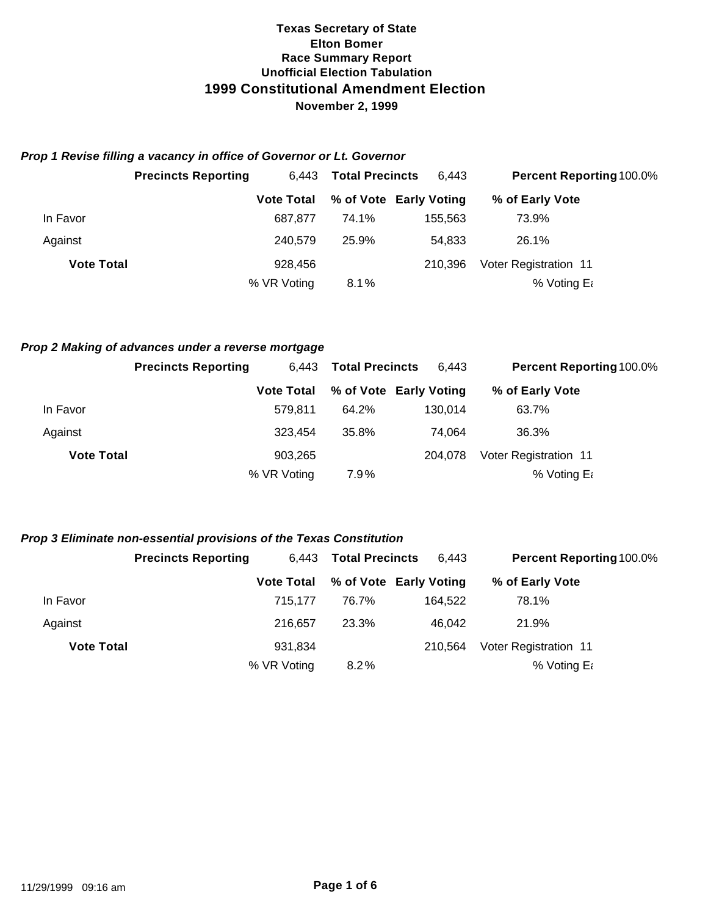### *Prop 1 Revise filling a vacancy in office of Governor or Lt. Governor*

|                   | <b>Precincts Reporting</b> | 6.443             | <b>Total Precincts</b> | 6.443                  | <b>Percent Reporting 100.0%</b> |
|-------------------|----------------------------|-------------------|------------------------|------------------------|---------------------------------|
|                   |                            | <b>Vote Total</b> |                        | % of Vote Early Voting | % of Early Vote                 |
| In Favor          |                            | 687,877           | 74.1%                  | 155.563                | 73.9%                           |
| Against           |                            | 240.579           | 25.9%                  | 54.833                 | 26.1%                           |
| <b>Vote Total</b> |                            | 928.456           |                        | 210.396                | Voter Registration 11           |
|                   |                            | % VR Voting       | 8.1%                   |                        | % Voting Et                     |

### *Prop 2 Making of advances under a reverse mortgage*

|                   | <b>Precincts Reporting</b> | 6.443             | <b>Total Precincts</b> | 6.443                  | <b>Percent Reporting 100.0%</b> |
|-------------------|----------------------------|-------------------|------------------------|------------------------|---------------------------------|
|                   |                            | <b>Vote Total</b> |                        | % of Vote Early Voting | % of Early Vote                 |
| In Favor          |                            | 579.811           | 64.2%                  | 130.014                | 63.7%                           |
| Against           |                            | 323.454           | 35.8%                  | 74.064                 | 36.3%                           |
| <b>Vote Total</b> |                            | 903.265           |                        | 204.078                | Voter Registration 11           |
|                   |                            | % VR Voting       | 7.9%                   |                        | % Voting $E_i$                  |

### *Prop 3 Eliminate non-essential provisions of the Texas Constitution*

|                   | <b>Precincts Reporting</b> | 6.443             | <b>Total Precincts</b> | 6.443                  | <b>Percent Reporting 100.0%</b> |
|-------------------|----------------------------|-------------------|------------------------|------------------------|---------------------------------|
|                   |                            | <b>Vote Total</b> |                        | % of Vote Early Voting | % of Early Vote                 |
| In Favor          |                            | 715.177           | 76.7%                  | 164.522                | 78.1%                           |
| Against           |                            | 216.657           | 23.3%                  | 46.042                 | 21.9%                           |
| <b>Vote Total</b> |                            | 931,834           |                        | 210.564                | Voter Registration 11           |
|                   |                            | % VR Voting       | 8.2%                   |                        | % Voting E                      |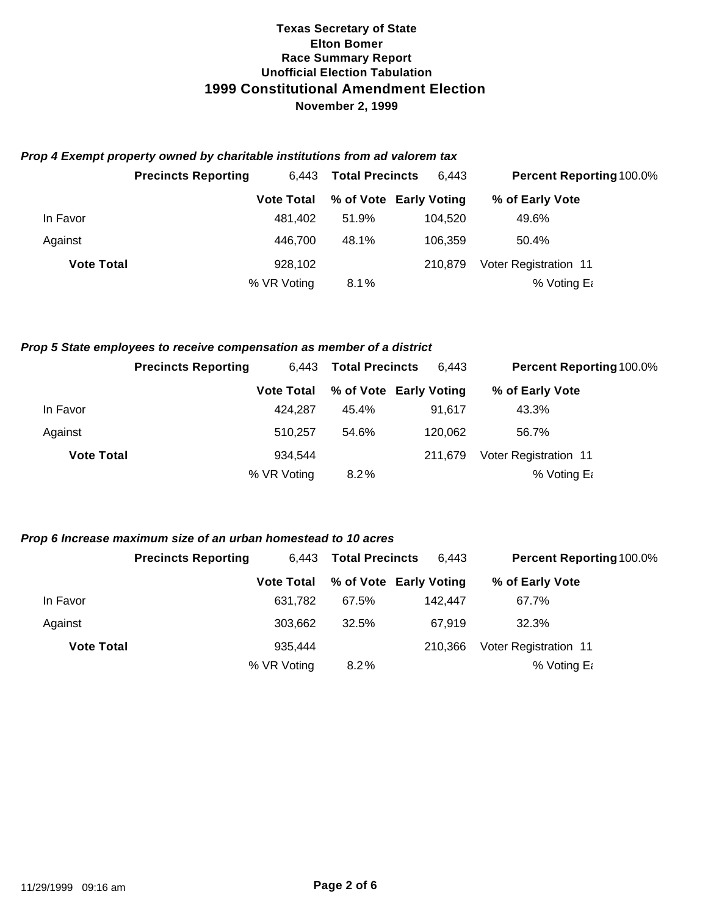### *Prop 4 Exempt property owned by charitable institutions from ad valorem tax*

|                   | <b>Precincts Reporting</b> | 6.443             | <b>Total Precincts</b> | 6.443                  | <b>Percent Reporting 100.0%</b> |
|-------------------|----------------------------|-------------------|------------------------|------------------------|---------------------------------|
|                   |                            | <b>Vote Total</b> |                        | % of Vote Early Voting | % of Early Vote                 |
| In Favor          |                            | 481.402           | 51.9%                  | 104.520                | 49.6%                           |
| Against           |                            | 446,700           | 48.1%                  | 106.359                | 50.4%                           |
| <b>Vote Total</b> |                            | 928,102           |                        | 210.879                | Voter Registration 11           |
|                   |                            | % VR Voting       | 8.1%                   |                        | % Voting Et                     |

### *Prop 5 State employees to receive compensation as member of a district*

|                   | <b>Precincts Reporting</b> | 6.443             | <b>Total Precincts</b> | 6.443                  | <b>Percent Reporting 100.0%</b> |
|-------------------|----------------------------|-------------------|------------------------|------------------------|---------------------------------|
|                   |                            | <b>Vote Total</b> |                        | % of Vote Early Voting | % of Early Vote                 |
| In Favor          |                            | 424.287           | 45.4%                  | 91.617                 | 43.3%                           |
| Against           |                            | 510.257           | 54.6%                  | 120.062                | 56.7%                           |
| <b>Vote Total</b> |                            | 934.544           |                        | 211.679                | Voter Registration 11           |
|                   |                            | % VR Voting       | 8.2%                   |                        | % Voting $E_i$                  |

### *Prop 6 Increase maximum size of an urban homestead to 10 acres*

|                   | <b>Precincts Reporting</b> | 6.443             | <b>Total Precincts</b> | 6.443                  | <b>Percent Reporting 100.0%</b> |
|-------------------|----------------------------|-------------------|------------------------|------------------------|---------------------------------|
|                   |                            | <b>Vote Total</b> |                        | % of Vote Early Voting | % of Early Vote                 |
| In Favor          |                            | 631.782           | 67.5%                  | 142.447                | 67.7%                           |
| Against           |                            | 303,662           | 32.5%                  | 67.919                 | 32.3%                           |
| <b>Vote Total</b> |                            | 935.444           |                        | 210.366                | Voter Registration 11           |
|                   |                            | % VR Voting       | 8.2%                   |                        | % Voting $E_i$                  |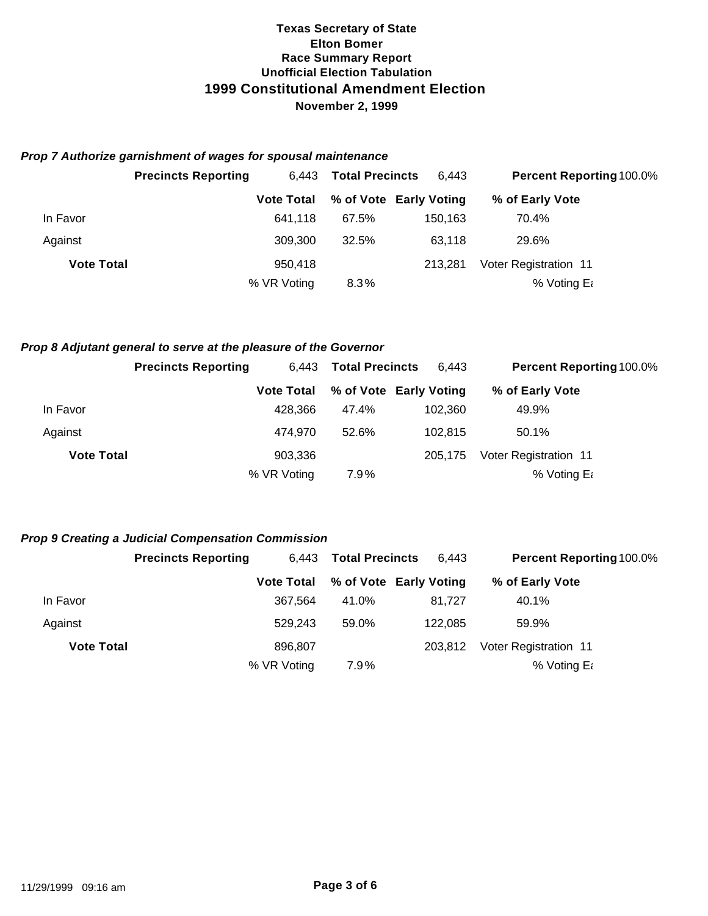### *Prop 7 Authorize garnishment of wages for spousal maintenance*

|                   | <b>Precincts Reporting</b> | 6.443             | <b>Total Precincts</b> | 6.443                  | <b>Percent Reporting 100.0%</b> |
|-------------------|----------------------------|-------------------|------------------------|------------------------|---------------------------------|
|                   |                            | <b>Vote Total</b> |                        | % of Vote Early Voting | % of Early Vote                 |
| In Favor          |                            | 641.118           | 67.5%                  | 150.163                | 70.4%                           |
| Against           |                            | 309,300           | 32.5%                  | 63.118                 | 29.6%                           |
| <b>Vote Total</b> |                            | 950.418           |                        | 213.281                | Voter Registration 11           |
|                   |                            | % VR Voting       | $8.3\%$                |                        | % Voting $E_i$                  |

### *Prop 8 Adjutant general to serve at the pleasure of the Governor*

|                   | <b>Precincts Reporting</b> | 6.443             | <b>Total Precincts</b> | 6.443                  | <b>Percent Reporting 100.0%</b> |
|-------------------|----------------------------|-------------------|------------------------|------------------------|---------------------------------|
|                   |                            | <b>Vote Total</b> |                        | % of Vote Early Voting | % of Early Vote                 |
| In Favor          |                            | 428.366           | 47.4%                  | 102.360                | 49.9%                           |
| Against           |                            | 474.970           | 52.6%                  | 102.815                | 50.1%                           |
| <b>Vote Total</b> |                            | 903,336           |                        | 205.175                | Voter Registration 11           |
|                   |                            | % VR Voting       | 7.9%                   |                        | % Voting $E_i$                  |

#### *Prop 9 Creating a Judicial Compensation Commission*

|                   | <b>Precincts Reporting</b> | 6.443             | <b>Total Precincts</b> | 6.443                  | <b>Percent Reporting 100.0%</b> |
|-------------------|----------------------------|-------------------|------------------------|------------------------|---------------------------------|
|                   |                            | <b>Vote Total</b> |                        | % of Vote Early Voting | % of Early Vote                 |
| In Favor          |                            | 367.564           | 41.0%                  | 81.727                 | 40.1%                           |
| Against           |                            | 529,243           | 59.0%                  | 122.085                | 59.9%                           |
| <b>Vote Total</b> |                            | 896.807           |                        | 203.812                | Voter Registration 11           |
|                   |                            | % VR Voting       | 7.9%                   |                        | % Voting E                      |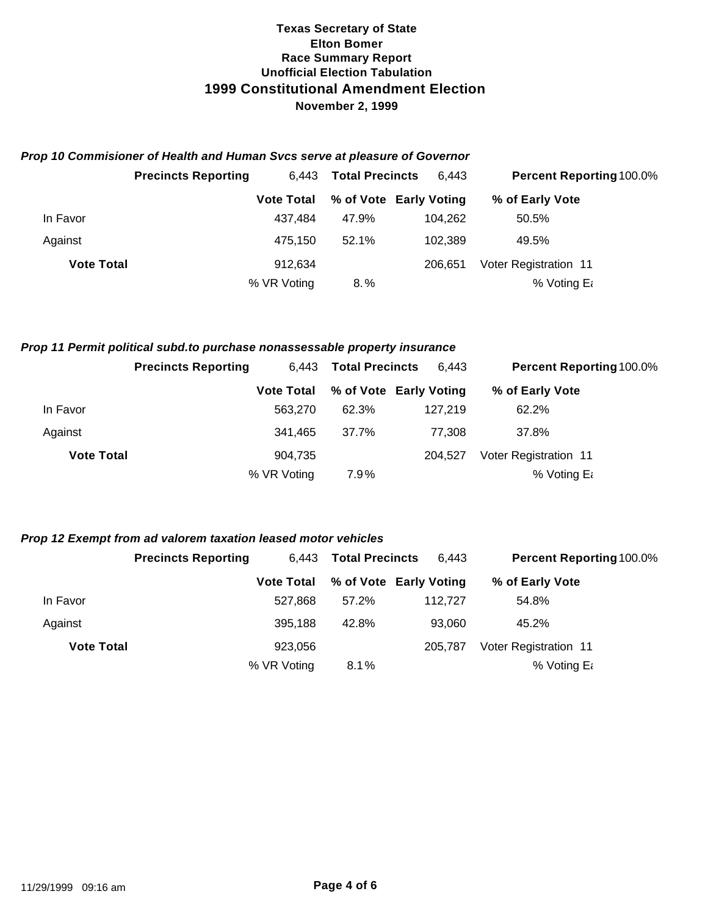#### *Prop 10 Commisioner of Health and Human Svcs serve at pleasure of Governor*

|                   | <b>Precincts Reporting</b> | 6.443             | <b>Total Precincts</b> | 6.443                  | <b>Percent Reporting 100.0%</b> |
|-------------------|----------------------------|-------------------|------------------------|------------------------|---------------------------------|
|                   |                            | <b>Vote Total</b> |                        | % of Vote Early Voting | % of Early Vote                 |
| In Favor          |                            | 437.484           | 47.9%                  | 104.262                | 50.5%                           |
| Against           |                            | 475.150           | 52.1%                  | 102.389                | 49.5%                           |
| <b>Vote Total</b> |                            | 912.634           |                        | 206.651                | Voter Registration 11           |
|                   |                            | % VR Voting       | 8.%                    |                        | % Voting $E_i$                  |

#### *Prop 11 Permit political subd.to purchase nonassessable property insurance*

|                   | <b>Precincts Reporting</b> | 6.443             | <b>Total Precincts</b> | 6.443                  | <b>Percent Reporting 100.0%</b> |
|-------------------|----------------------------|-------------------|------------------------|------------------------|---------------------------------|
|                   |                            | <b>Vote Total</b> |                        | % of Vote Early Voting | % of Early Vote                 |
| In Favor          |                            | 563,270           | 62.3%                  | 127.219                | 62.2%                           |
| Against           |                            | 341.465           | 37.7%                  | 77.308                 | 37.8%                           |
| <b>Vote Total</b> |                            | 904,735           |                        | 204.527                | Voter Registration 11           |
|                   |                            | % VR Voting       | 7.9%                   |                        | % Voting $E_i$                  |

### *Prop 12 Exempt from ad valorem taxation leased motor vehicles*

|                   | <b>Precincts Reporting</b> | 6.443             | <b>Total Precincts</b> | 6.443                  | <b>Percent Reporting 100.0%</b> |
|-------------------|----------------------------|-------------------|------------------------|------------------------|---------------------------------|
|                   |                            | <b>Vote Total</b> |                        | % of Vote Early Voting | % of Early Vote                 |
| In Favor          |                            | 527.868           | 57.2%                  | 112.727                | 54.8%                           |
| Against           |                            | 395,188           | 42.8%                  | 93,060                 | 45.2%                           |
| <b>Vote Total</b> |                            | 923,056           |                        | 205.787                | Voter Registration 11           |
|                   |                            | % VR Voting       | 8.1%                   |                        | % Voting $E_i$                  |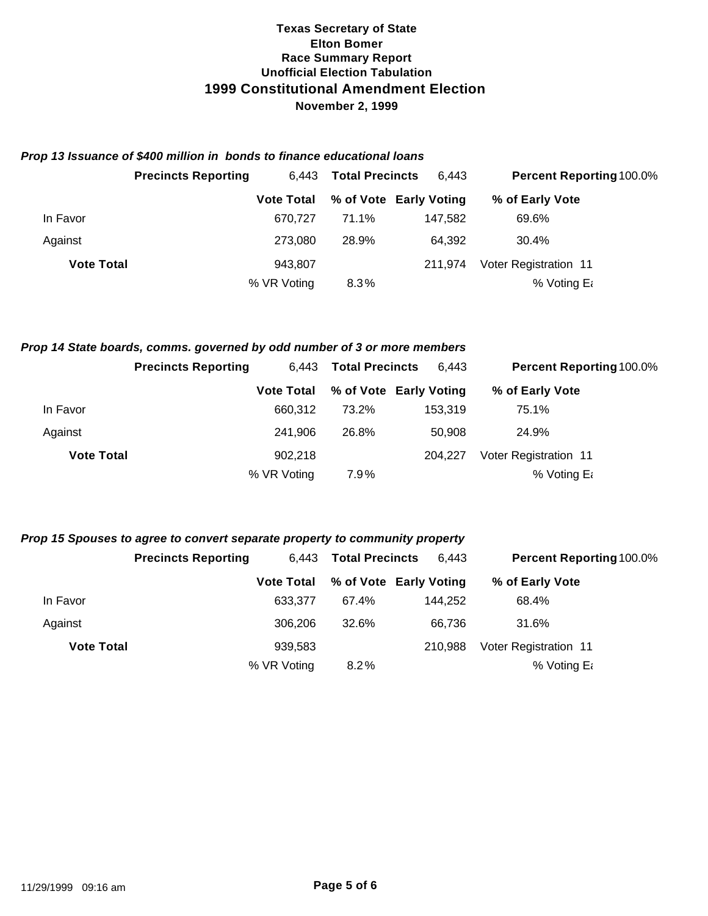### *Prop 13 Issuance of \$400 million in bonds to finance educational loans*

|                   | <b>Precincts Reporting</b> | 6.443             | <b>Total Precincts</b> | 6.443                  | <b>Percent Reporting 100.0%</b> |
|-------------------|----------------------------|-------------------|------------------------|------------------------|---------------------------------|
|                   |                            | <b>Vote Total</b> |                        | % of Vote Early Voting | % of Early Vote                 |
| In Favor          |                            | 670.727           | 71.1%                  | 147.582                | 69.6%                           |
| Against           |                            | 273,080           | 28.9%                  | 64.392                 | 30.4%                           |
| <b>Vote Total</b> |                            | 943.807           |                        | 211.974                | Voter Registration 11           |
|                   |                            | % VR Voting       | $8.3\%$                |                        | % Voting Et                     |

### *Prop 14 State boards, comms. governed by odd number of 3 or more members*

|                   | <b>Precincts Reporting</b> | 6.443             | <b>Total Precincts</b> | 6.443                  | <b>Percent Reporting 100.0%</b> |
|-------------------|----------------------------|-------------------|------------------------|------------------------|---------------------------------|
|                   |                            | <b>Vote Total</b> |                        | % of Vote Early Voting | % of Early Vote                 |
| In Favor          |                            | 660,312           | 73.2%                  | 153,319                | 75.1%                           |
| Against           |                            | 241,906           | 26.8%                  | 50.908                 | 24.9%                           |
| <b>Vote Total</b> |                            | 902,218           |                        | 204.227                | Voter Registration 11           |
|                   |                            | % VR Voting       | 7.9%                   |                        | % Voting Et                     |

### *Prop 15 Spouses to agree to convert separate property to community property*

|                   | <b>Precincts Reporting</b> | 6.443             | <b>Total Precincts</b> | 6.443                  | <b>Percent Reporting 100.0%</b> |
|-------------------|----------------------------|-------------------|------------------------|------------------------|---------------------------------|
|                   |                            | <b>Vote Total</b> |                        | % of Vote Early Voting | % of Early Vote                 |
| In Favor          |                            | 633.377           | 67.4%                  | 144.252                | 68.4%                           |
| Against           |                            | 306,206           | 32.6%                  | 66.736                 | 31.6%                           |
| <b>Vote Total</b> |                            | 939,583           |                        | 210.988                | Voter Registration 11           |
|                   |                            | % VR Voting       | $8.2\%$                |                        | % Voting Et                     |